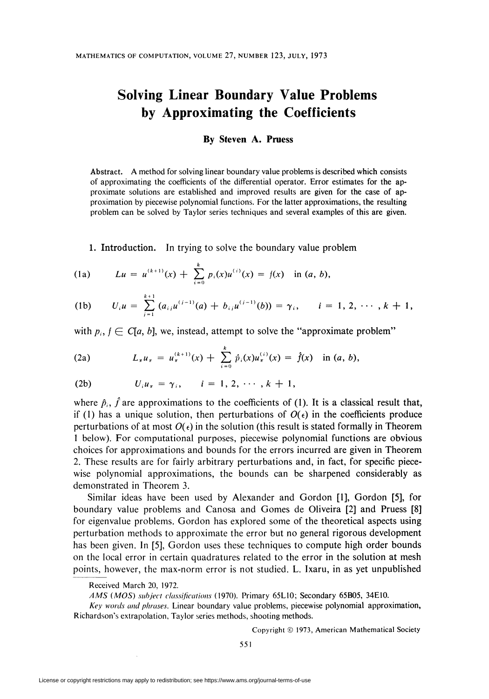## Solving Linear Boundary Value Problems by Approximating the Coefficients

## By Steven A. Pruess

Abstract. A method for solving linear boundary value problems is described which consists of approximating the coefficients of the differential operator. Error estimates for the approximate solutions are established and improved results are given for the case of approximation by piecewise polynomial functions. For the latter approximations, the resulting problem can be solved by Taylor series techniques and several examples of this are given.

1. Introduction. In trying to solve the boundary value problem

(1a) 
$$
Lu = u^{(k+1)}(x) + \sum_{i=0}^{k} p_i(x)u^{(i)}(x) = f(x) \text{ in } (a, b),
$$

(1b) 
$$
U_i u = \sum_{j=1}^{k+1} (a_{ij} u^{(j-1)}(a) + b_{ij} u^{(j-1)}(b)) = \gamma_i, \quad i = 1, 2, \cdots, k+1,
$$

with  $p_i$ ,  $f \in C[a, b]$ , we, instead, attempt to solve the "approximate problem"

(2a) 
$$
L_{\pi}u_{\pi} = u_{\pi}^{(k+1)}(x) + \sum_{i=0}^{k} \hat{p}_{i}(x)u_{\pi}^{(i)}(x) = \hat{f}(x) \text{ in } (a, b),
$$

(2b) 
$$
U_i u_{\pi} = \gamma_i
$$
,  $i = 1, 2, \cdots, k + 1$ ,

where  $\hat{p}_i$ ,  $\hat{f}$  are approximations to the coefficients of (1). It is a classical result that, if (1) has a unique solution, then perturbations of  $O(\epsilon)$  in the coefficients produce perturbations of at most  $O(\epsilon)$  in the solution (this result is stated formally in Theorem 1 below). For computational purposes, piecewise polynomial functions are obvious choices for approximations and bounds for the errors incurred are given in Theorem 2. These results are for fairly arbitrary perturbations and, in fact, for specific piecewise polynomial approximations, the bounds can be sharpened considerably as demonstrated in Theorem 3.

Similar ideas have been used by Alexander and Gordon [1], Gordon [5], for boundary value problems and Canosa and Gomes de Oliveira [2] and Pruess [8] for eigenvalue problems. Gordon has explored some of the theoretical aspects using perturbation methods to approximate the error but no general rigorous development has been given. In [5], Gordon uses these techniques to compute high order bounds on the local error in certain quadratures related to the error in the solution at mesh points, however, the max-norm error is not studied. L. Ixaru, in as yet unpublished

AMS (MOS) subject classifications (1970). Primary 65L10; Secondary 65B05, 34E10.

Key words and phrases. Linear boundary value problems, piecewise polynomial approximation, Richardson's extrapolation, Taylor series methods, shooting methods.

Copyright © 1973, American Mathematical Society

Received March 20, 1972.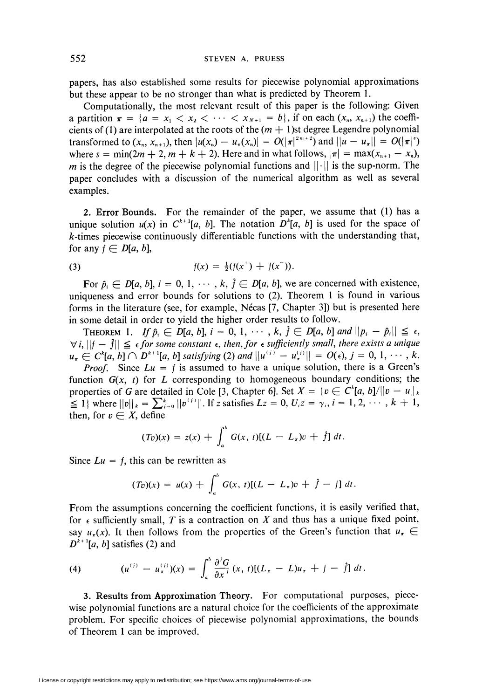papers, has also established some results for piecewise polynomial approximations but these appear to be no stronger than what is predicted by Theorem 1.

Computationally, the most relevant result of this paper is the following: Given a partition  $\pi = \{a = x_1 < x_2 < \cdots < x_{N+1} = b\}$ , if on each  $(x_n, x_{n+1})$  the coefficients of (1) are interpolated at the roots of the  $(m + 1)$ st degree Legendre polynomial transformed to  $(x_n, x_{n+1})$ , then  $|u(x_n) - u_\tau(x_n)| = O(|\tau|^{2m+2})$  and  $\|u - u_\tau\| = O(|\tau|^s)$ where  $s = \min(2m + 2, m + k + 2)$ . Here and in what follows,  $|\pi| = \max(x_{n+1} - x_n)$ , m is the degree of the piecewise polynomial functions and  $||\cdot||$  is the sup-norm. The paper concludes with a discussion of the numerical algorithm as well as several examples.

2. Error Bounds. For the remainder of the paper, we assume that (1) has a unique solution  $u(x)$  in  $C^{k+1}[a, b]$ . The notation  $D^{k}[a, b]$  is used for the space of  $k$ -times piecewise continuously differentiable functions with the understanding that, for any  $f \in D[a, b]$ ,

(3) 
$$
f(x) = \frac{1}{2}(f(x^+) + f(x^-)).
$$

For  $\hat{p}_i \in D[a, b], i = 0, 1, \dots, k, \hat{j} \in D[a, b],$  we are concerned with existence, uniqueness and error bounds for solutions to (2). Theorem 1 is found in various forms in the literature (see, for example, Nécas [7, Chapter 3]) but is presented here in some detail in order to yield the higher order results to follow.

THEOREM 1. If  $\hat{p}_i \in D[a, b]$ ,  $i = 0, 1, \cdots, k$ ,  $\hat{f} \in D[a, b]$  and  $\|p_i - \hat{p}_i\| \leq \epsilon$ ,  $\forall i, ||f - \hat{f}|| \leq \epsilon$  for some constant  $\epsilon$ , then, for  $\epsilon$  sufficiently small, there exists a unique  $u_{\tau} \in C^{k}[a, b] \cap D^{k+1}[a, b]$  satisfying (2) and  $||u^{(i)} - u_{\tau}^{(i)}|| = O(\epsilon), j = 0, 1, \cdots, k.$ 

*Proof.* Since  $Lu = f$  is assumed to have a unique solution, there is a Green's function  $G(x, t)$  for L corresponding to homogeneous boundary conditions; the properties of G are detailed in Cole [3, Chapter 6]. Set  $X = \{v \in C^k[a, b]/\|v - u\|_k\}$  $\leq 1$  where  $||v||_k = \sum_{i=0}^k ||v^{(i)}||$ . If z satisfies  $Lz = 0, U_iz = \gamma_i, i = 1, 2, \cdots, k + 1$ , then, for  $v \in X$ , define

$$
(Tv)(x) = z(x) + \int_a^b G(x, t)[(L - L_x)v + \hat{f}] dt.
$$

Since  $Lu = f$ , this can be rewritten as

$$
(Tv)(x) = u(x) + \int_a^b G(x, t)[(L - L_{\tau})v + \hat{f} - f] dt.
$$

From the assumptions concerning the coefficient functions, it is easily verified that, for  $\epsilon$  sufficiently small, T is a contraction on X and thus has a unique fixed point, say  $u_{\pi}(x)$ . It then follows from the properties of the Green's function that  $u_{\pi} \in$  $D^{k+1}[a, b]$  satisfies (2) and

(4) 
$$
(u^{(i)} - u^{(i)}_{\pi})(x) = \int_a^b \frac{\partial^i G}{\partial x^i} (x, t) [(L_{\pi} - L)u_{\pi} + f - \hat{f}] dt.
$$

3. Results from Approximation Theory. For computational purposes, piecewise polynomial functions are a natural choice for the coefficients of the approximate problem. For specific choices of piecewise polynomial approximations, the bounds of Theorem 1 can be improved.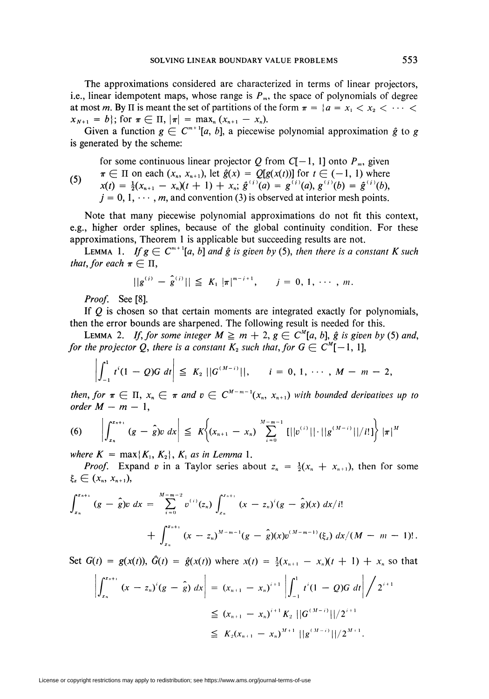The approximations considered are characterized in terms of linear projectors, i.e., linear idempotent maps, whose range is  $P<sub>m</sub>$ , the space of polynomials of degree at most m. By II is meant the set of partitions of the form  $\pi = \{a = x_1 < x_2 < \cdots \leq x_n\}$  $x_{N+1} = b$ ; for  $\pi \in \Pi$ ,  $|\pi| = \max_{n} (x_{n+1} - x_n)$ .

Given a function  $g \in C^{m+1}[a, b]$ , a piecewise polynomial approximation  $\hat{g}$  to g is generated by the scheme:

for some continuous linear projector Q from  $C[-1, 1]$  onto  $P_m$ , given

(5)  $\pi \in \Pi$  on each  $(x_n, x_{n+1})$ , let  $\hat{g}(x) = \mathbb{Q}[g(x(t))]$  for  $t \in (-1, 1)$  where  $x(t) = \frac{1}{2}(x_{n+1} - x_n)(t+1) + x_n$ ;  $\hat{g}^{(i)}(a) = g^{(i)}(a), g^{(i)}(b) = \hat{g}^{(i)}(b)$ ,  $j = 0, 1, \dots, m$ , and convention (3) is observed at interior mesh points.

Note that many piecewise polynomial approximations do not fit this context, e.g., higher order splines, because of the global continuity condition. For these approximations, Theorem 1 is applicable but succeeding results are not.

LEMMA 1. If  $g \in C^{m+1}[a, b]$  and  $\hat{g}$  is given by (5), then there is a constant K such that, for each  $\pi \in \Pi$ ,

$$
||g^{(i)} - \hat{g}^{(i)}|| \leq K_1 |\pi|^{m-i+1}, \quad j = 0, 1, \cdots, m.
$$

Proof. See [8].

If  $Q$  is chosen so that certain moments are integrated exactly for polynomials, then the error bounds are sharpened. The following result is needed for this.

LEMMA 2. If, for some integer  $M \ge m + 2$ ,  $g \in C^M[a, b]$ ,  $\hat{g}$  is given by (5) and, for the projector Q, there is a constant  $K_2$  such that, for  $G \in C^M[-1, 1]$ ,

$$
\left|\int_{-1}^1 t^i (1-\,Q)G \, dt \right| \leq K_2 \, \left| |G^{(M-i)}| \right|, \qquad i = 0, 1, \, \cdots, \, M - m - 2,
$$

then, for  $\pi \in \Pi$ ,  $x_n \in \pi$  and  $v \in C^{M-m-1}(x_n, x_{n+1})$  with bounded derivatives up to order  $M - m - 1$ ,

$$
(6) \qquad \left|\int_{x_n}^{x_{n+1}} (g - \hat{g}) v \ dx\right| \leq K \bigg\{ (x_{n+1} - x_n) \sum_{i=0}^{M-m-1} [||v^{(i)}|| \cdot ||g^{(M-i)}||/i!] \bigg\} |\pi|^{M}
$$

where  $K = \max\{K_1, K_2\}$ ,  $K_1$  as in Lemma 1.

*Proof.* Expand v in a Taylor series about  $z_n = \frac{1}{2}(x_n + x_{n+1})$ , then for some  $\xi_x \in (x_n, x_{n+1}),$ 

$$
\int_{x_n}^{x_{n+1}} (g - \hat{g}) v \ dx = \sum_{i=0}^{M-m-2} v^{(i)}(z_n) \int_{x_n}^{x_{n+1}} (x - z_n)^i (g - \hat{g})(x) \ dx/i!
$$
  
+ 
$$
\int_{x_n}^{x_{n+1}} (x - z_n)^{M-m-1} (g - \hat{g})(x) v^{(M-m-1)}(\xi_x) \ dx/(M-m-1)!
$$

Set  $G(t) = g(x(t))$ ,  $\hat{G}(t) = \hat{g}(x(t))$  where  $x(t) = \frac{1}{2}(x_{n+1} - x_n)(t+1) + x_n$  so that

$$
\left| \int_{x_n}^{x_{n+1}} (x - z_n)^i (g - \hat{g}) dx \right| = (x_{n+1} - x_n)^{i+1} \left| \int_{-1}^1 t^i (1 - Q) G dt \right| / 2^{i+1}
$$
  
\n
$$
\leq (x_{n+1} - x_n)^{i+1} K_2 ||G^{(M-i)}||/2^{i+1}
$$
  
\n
$$
\leq K_2 (x_{n+1} - x_n)^{M+1} ||g^{(M-i)}||/2^{M+1}.
$$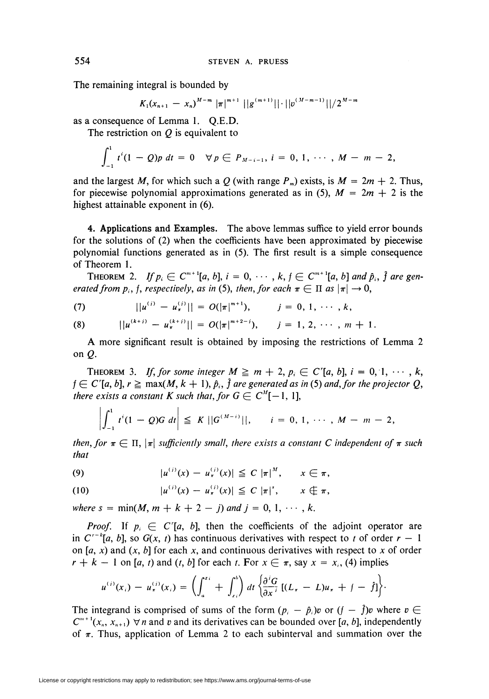The remaining integral is bounded by

$$
K_1(x_{n+1} - x_n)^{M-m} |\pi|^{m+1} ||g^{(m+1)}|| \cdot ||v^{(M-m-1)}|| / 2^{M-n}
$$

as a consequence of Lemma 1. Q.E.D.

The restriction on  $Q$  is equivalent to

$$
\int_{-1}^{1} t^{i} (1 - Q) p \, dt = 0 \quad \forall p \in P_{M-i-1}, i = 0, 1, \cdots, M - m - 2,
$$

and the largest M, for which such a Q (with range  $P_m$ ) exists, is  $M = 2m + 2$ . Thus, for piecewise polynomial approximations generated as in (5),  $M = 2m + 2$  is the highest attainable exponent in (6).

4. Applications and Examples. The above lemmas suffice to yield error bounds for the solutions of (2) when the coefficients have been approximated by piecewise polynomial functions generated as in (5). The first result is a simple consequence of Theorem 1.

THEOREM 2. If  $p_i \in C^{m+1}[a, b]$ ,  $i = 0, \cdots, k, j \in C^{m+1}[a, b]$  and  $\hat{p}_i$ ,  $\hat{j}$  are generated from  $p_i$ , f, respectively, as in (5), then, for each  $\pi \in \Pi$  as  $|\pi| \to 0$ ,

(7) 
$$
||u^{(i)} - u^{(i)}_{\pi}|| = O(|\pi|^{m+1}), \qquad j = 0, 1, \cdots, k,
$$

(8) 
$$
||u^{(k+j)} - u^{(k+j)}_{\pi}|| = O(|\pi|^{m+2-j}), \quad j = 1, 2, \cdots, m+1.
$$

A more significant result is obtained by imposing the restrictions of Lemma 2 on  $Q$ .

THEOREM 3. If, for some integer  $M \ge m + 2$ ,  $p_i \in C^r[a, b]$ ,  $i = 0, 1, \cdots, k$ ,  $f \in C^r[a, b], r \geq \max(M, k + 1), \hat{p}_i, \hat{f}$  are generated as in (5) and, for the projector Q, there exists a constant K such that, for  $G \in C^{M}[-1, 1]$ ,

$$
\left|\int_{-1}^1 t^i (1-\mathcal{Q})G \ dt\right| \leq K \ ||G^{(M-i)}||, \qquad i=0, 1, \cdots, M-m-2,
$$

then, for  $\pi \in \Pi$ ,  $|\pi|$  sufficiently small, there exists a constant C independent of  $\pi$  such that

(9) 
$$
|u^{(i)}(x) - u^{(i)}_{\pi}(x)| \leq C |\pi|^{M}, \quad x \in \pi,
$$

(10) 
$$
|u^{(i)}(x) - u^{(i)}(x)| \leq C |\pi|^s, \qquad x \notin \pi,
$$

where  $s = \min(M, m + k + 2 - j)$  and  $j = 0, 1, \dots, k$ .

*Proof.* If  $p_i \in C'[a, b]$ , then the coefficients of the adjoint operator are in  $C^{-k}[a, b]$ , so  $G(x, t)$  has continuous derivatives with respect to t of order  $r-1$ on [a, x) and  $(x, b]$  for each x, and continuous derivatives with respect to x of order  $r + k - 1$  on [a, t) and (t, b] for each t. For  $x \in \pi$ , say  $x = x_i$ , (4) implies

$$
u^{(i)}(x_i) - u^{(i)}_{\pi}(x_i) = \left(\int_a^{x_i} + \int_{x_i}^b\right) dt \left\{\frac{\partial^i G}{\partial x^i} \left[(L_{\pi} - L)u_{\pi} + f - \hat{f}\right]\right\}.
$$

The integrand is comprised of sums of the form  $(p_i - \hat{p}_i)v$  or  $(f - \hat{f})v$  where  $v \in$  $C^{m+1}(x_n, x_{n+1}) \nabla n$  and v and its derivatives can be bounded over [a, b], independently of  $\pi$ . Thus, application of Lemma 2 to each subinterval and summation over the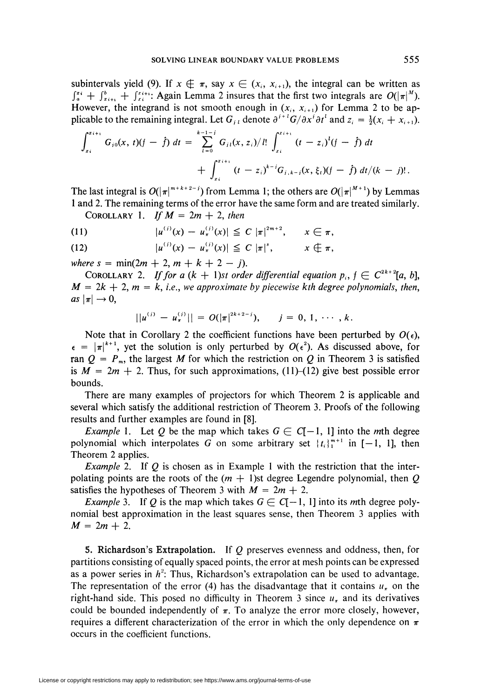subintervals yield (9). If  $x \notin \pi$ , say  $x \in (x_i, x_{i+1})$ , the integral can be written as  $\int_a^{x_i} + \int_{x_{i+1}}^{b} + \int_{x_i}^{x_{i+1}}$ : Again Lemma 2 insures that the first two integrals are  $O(|\pi|^M)$ . However, the integrand is not smooth enough in  $(x_i, x_{i+1})$  for Lemma 2 to be applicable to the remaining integral. Let  $G_{i\ell}$  denote  $\partial^{i\ell} G/\partial x^i \partial t^l$  and  $z_i = \frac{1}{2}(x_i + x_{i+1})$ .

$$
\int_{z_i}^{z_{i+1}} G_{i0}(x, t)(f - \hat{f}) dt = \sum_{l=0}^{k-1-j} G_{i1}(x, z_i)/l! \int_{z_i}^{z_{i+1}} (t - z_i)^l (f - \hat{f}) dt + \int_{z_i}^{z_{i+1}} (t - z_i)^{k-j} G_{i,k-j}(x, \xi_i)(f - \hat{f}) dt/(k - j)!.
$$

The last integral is  $O(|\pi|^{m+k+2-j})$  from Lemma 1; the others are  $O(|\pi|^{M+1})$  by Lemmas 1 and 2. The remaining terms of the error have the same form and are treated similarly.

COROLLARY 1. If  $M = 2m + 2$ , then

(11) 
$$
|u^{(i)}(x) - u^{(i)}_{\pi}(x)| \leq C |\pi|^{2m+2}, \qquad x \in \pi,
$$

(12) 
$$
|u^{(i)}(x) - u^{(i)}_{\pi}(x)| \leq C |\pi|^{s}, \qquad x \notin \pi,
$$

where  $s = \min(2m + 2, m + k + 2 - j)$ .

COROLLARY 2. If for a  $(k + 1)$ st order differential equation  $p_i$ ,  $f \in C^{2k+2}[a, b]$ ,  $M = 2k + 2$ ,  $m = k$ , i.e., we approximate by piecewise kth degree polynomials, then, as  $|\pi| \to 0$ ,

$$
||u^{(i)} - u^{(i)}_{\pi}|| = O(|\pi|^{2k+2-j}), \quad j = 0, 1, \cdots, k.
$$

Note that in Corollary 2 the coefficient functions have been perturbed by  $O(\epsilon)$ ,  $\epsilon = |\pi|^{k+1}$ , yet the solution is only perturbed by  $O(\epsilon^2)$ . As discussed above, for ran  $Q = P_m$ , the largest M for which the restriction on Q in Theorem 3 is satisfied is  $M = 2m + 2$ . Thus, for such approximations, (11)–(12) give best possible error bounds.

There are many examples of projectors for which Theorem 2 is applicable and several which satisfy the additional restriction of Theorem 3. Proofs of the following results and further examples are found in [8].

*Example 1.* Let Q be the map which takes  $G \in C[-1, 1]$  into the mth degree polynomial which interpolates G on some arbitrary set  $\{t_i\}_{i=1}^{m+1}$  in  $[-1, 1]$ , then Theorem 2 applies.

*Example 2.* If  $Q$  is chosen as in Example 1 with the restriction that the interpolating points are the roots of the  $(m + 1)$ st degree Legendre polynomial, then Q satisfies the hypotheses of Theorem 3 with  $M = 2m + 2$ .

*Example* 3. If Q is the map which takes  $G \in C[-1, 1]$  into its mth degree polynomial best approximation in the least squares sense, then Theorem 3 applies with  $M = 2m + 2$ .

5. Richardson's Extrapolation. If Q preserves evenness and oddness, then, for partitions consisting of equally spaced points, the error at mesh points can be expressed as a power series in  $h^2$ : Thus, Richardson's extrapolation can be used to advantage. The representation of the error (4) has the disadvantage that it contains  $u_{\tau}$  on the right-hand side. This posed no difficulty in Theorem 3 since  $u_{\pi}$  and its derivatives could be bounded independently of  $\pi$ . To analyze the error more closely, however, requires a different characterization of the error in which the only dependence on  $\pi$ occurs in the coefficient functions.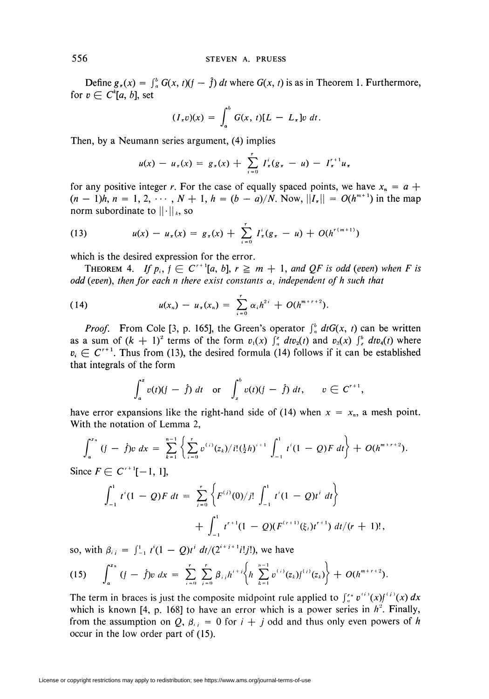Define  $g_x(x) = \int_a^b G(x, t)(f - \hat{f}) dt$  where  $G(x, t)$  is as in Theorem 1. Furthermore, for  $v \in C^k[a, b]$ , set

$$
(I_{\tau}v)(x) = \int_a^b G(x,t)[L - L_{\tau}]v \ dt.
$$

Then, by a Neumann series argument, (4) implies

$$
u(x) - u_{\pi}(x) = g_{\pi}(x) + \sum_{i=0}^{r} I_{\pi}^{i}(g_{\pi} - u) - I_{\pi}^{r+1}u_{\pi}
$$

for any positive integer r. For the case of equally spaced points, we have  $x_n = a +$  $(n - 1)h, n = 1, 2, \dots, N + 1, h = (b - a)/N$ . Now,  $||I_x|| = O(h^{m+1})$  in the map norm subordinate to  $|| \cdot ||_k$ , so

(13) 
$$
u(x) - u_{\pi}(x) = g_{\pi}(x) + \sum_{i=0}^{r} I_{\pi}^{i}(g_{\pi} - u) + O(h^{r(m+1)})
$$

which is the desired expression for the error.

THEOREM 4. If  $p_i$ ,  $f \in C^{r+1}[a, b]$ ,  $r \geq m + 1$ , and QF is odd (even) when F is odd (even), then for each n there exist constants  $\alpha_i$  independent of h such that

(14) 
$$
u(x_n) - u_{\pi}(x_n) = \sum_{i=0}^r \alpha_i h^{2i} + O(h^{m+r+2}).
$$

*Proof.* From Cole [3, p. 165], the Green's operator  $\int_a^b df G(x, t)$  can be written as a sum of  $(k + 1)^2$  terms of the form  $v_1(x) \int_a^x dv_2(t)$  and  $v_3(x) \int_x^b dt v_4(t)$  where  $v_i \in C^{r+1}$ . Thus from (13), the desired formula (14) follows if it can be established that integrals of the form

$$
\int_a^x v(t)(f - \hat{f}) dt \quad \text{or} \quad \int_x^b v(t)(f - \hat{f}) dt, \qquad v \in C^{r+1},
$$

have error expansions like the right-hand side of (14) when  $x = x_n$ , a mesh point. With the notation of Lemma 2,

$$
\int_a^{x_n} (f - \hat{f}) v \ dx = \sum_{k=1}^{n-1} \left\{ \sum_{i=0}^r v^{(i)}(z_k) / i! (\frac{1}{2}h)^{i+1} \int_{-1}^1 t^i (1 - Q) F \ dt \right\} + O(h^{m+r+2}).
$$

Since  $F \in C^{r+1}[-1, 1]$ ,

$$
\int_{-1}^{1} t^{i} (1 - Q) F dt = \sum_{j=0}^{r} \left\{ F^{(j)}(0)/j! \int_{-1}^{1} t^{i} (1 - Q) t^{j} dt \right\}
$$
  
+ 
$$
\int_{-1}^{1} t^{r+1} (1 - Q) (F^{(r+1)}(\xi_{i}) t^{r+1}) dt / (r+1)!,
$$

so, with  $\beta_{ij} = \int_{-1}^{1} t^{i}(1 - Q)t^{i} dt/(2^{i+j+1}i!)$ , we have

(15) 
$$
\int_a^{x_n} (f - \hat{f}) v \ dx = \sum_{i=0}^r \sum_{j=0}^r \beta_{ij} h^{i+j} \left\{ h \sum_{k=1}^{n-1} v^{(i)}(z_k) f^{(i)}(z_k) \right\} + O(h^{m+r+2}).
$$

The term in braces is just the composite midpoint rule applied to  $\int_a^{x_n} v^{(i)}(x) f^{(i)}(x) dx$ which is known [4, p. 168] to have an error which is a power series in  $h^2$ . Finally, from the assumption on Q,  $\beta_{ij} = 0$  for  $i + j$  odd and thus only even powers of h occur in the low order part of (15).

License or copyright restrictions may apply to redistribution; see https://www.ams.org/journal-terms-of-use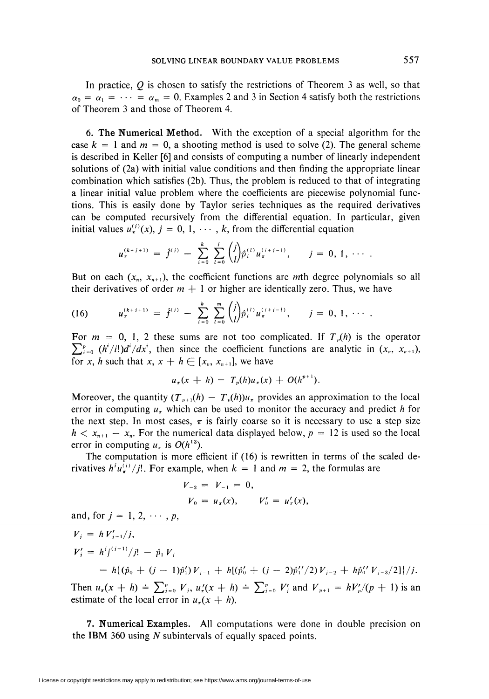In practice,  $Q$  is chosen to satisfy the restrictions of Theorem 3 as well, so that  $\alpha_0 = \alpha_1 = \cdots = \alpha_m = 0$ . Examples 2 and 3 in Section 4 satisfy both the restrictions of Theorem 3 and those of Theorem 4.

6. The Numerical Method. With the exception of a special algorithm for the case  $k = 1$  and  $m = 0$ , a shooting method is used to solve (2). The general scheme is described in Keller [6] and consists of computing a number of linearly independent solutions of (2a) with initial value conditions and then finding the appropriate linear combination which satisfies (2b). Thus, the problem is reduced to that of integrating a linear initial value problem where the coefficients are piecewise polynomial functions. This is easily done by Taylor series techniques as the required derivatives can be computed recursively from the differential equation. In particular, given initial values  $u_{\tau}^{(i)}(x)$ ,  $j = 0, 1, \cdots, k$ , from the differential equation

$$
u_{\pi}^{(k+j+1)} = \hat{f}^{(i)} - \sum_{i=0}^{k} \sum_{l=0}^{j} {j \choose l} \hat{p}_{i}^{(l)} u_{\pi}^{(i+j-l)}, \qquad j = 0, 1, \cdots.
$$

But on each  $(x_n, x_{n+1})$ , the coefficient functions are mth degree polynomials so all their derivatives of order  $m + 1$  or higher are identically zero. Thus, we have

(16) 
$$
u_{\pi}^{(k+j+1)} = \hat{f}^{(j)} - \sum_{i=0}^{k} \sum_{l=0}^{m} {j \choose l} \hat{p}_{i}^{(l)} u_{\pi}^{(i+j-l)}, \qquad j = 0, 1, \cdots.
$$

For  $m = 0, 1, 2$  these sums are not too complicated. If  $T_{v}(h)$  is the operator  $\sum_{i=0}^{p} (h^i/i!)d^i/dx^i$ , then since the coefficient functions are analytic in  $(x_n, x_{n+1})$ , for x, h such that x,  $x + h \in [x_n, x_{n+1}]$ , we have

$$
u_{\pi}(x+h) = T_p(h)u_{\pi}(x) + O(h^{p+1}).
$$

Moreover, the quantity  $(T_{p+1}(h) - T_p(h))u_r$  provides an approximation to the local error in computing  $u_r$  which can be used to monitor the accuracy and predict h for the next step. In most cases,  $\pi$  is fairly coarse so it is necessary to use a step size  $h < x_{n+1} - x_n$ . For the numerical data displayed below,  $p = 12$  is used so the local error in computing  $u_{\pi}$  is  $O(h^{13})$ .

The computation is more efficient if (16) is rewritten in terms of the scaled derivatives  $h^i u_\tau^{(i)}/j!$ . For example, when  $k = 1$  and  $m = 2$ , the formulas are

$$
V_{-2} = V_{-1} = 0,
$$
  
\n
$$
V_0 = u_{\pi}(x), \qquad V'_0 = u'_{\pi}(x),
$$

and, for  $j = 1, 2, \cdots, p$ ,

$$
V_i = h V'_{i-1}/j,
$$

$$
V'_{i} = h^{i} f^{(i-1)}/j! - \hat{p}_{1} V_{i}
$$

$$
= h\{(\hat{p}_0 + (j-1)\hat{p}'_1) V_{j-1} + h[(\hat{p}'_0 + (j-2)\hat{p}''_1/2) V_{j-2} + h\hat{p}''_0 V_{j-3}/2]\}/j.
$$

Then  $u_x(x + h) = \sum_{i=0}^p V_i$ ,  $u_x'(x + h) = \sum_{i=0}^p V_i'$  and  $V_{p+1} = hV'_p/(p+1)$  is an estimate of the local error in  $u<sub>\pi</sub>(x + h)$ .

7. Numerical Examples. All computations were done in double precision on the IBM 360 using N subintervals of equally spaced points.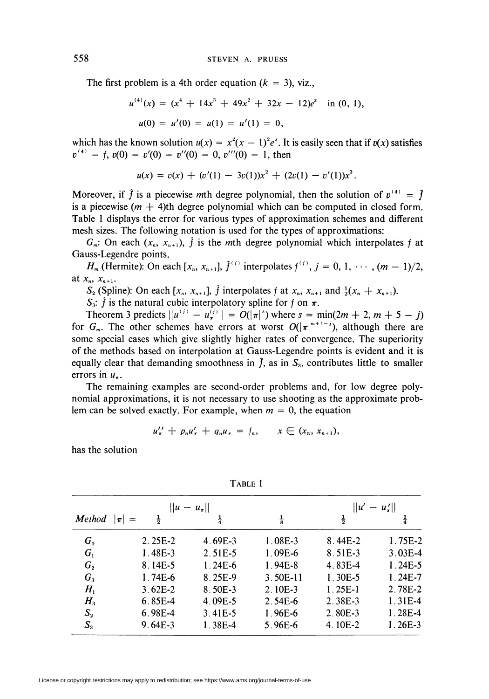The first problem is a 4th order equation  $(k = 3)$ , viz.,

$$
u^{(4)}(x) = (x4 + 14x3 + 49x2 + 32x - 12)ex \text{ in } (0, 1),
$$
  

$$
u(0) = u'(0) = u(1) = u'(1) = 0,
$$

which has the known solution  $u(x) = x^2(x - 1)^2 e^x$ . It is easily seen that if  $v(x)$  satisfies  $v^{(4)} = f, v(0) = v'(0) = v''(0) = 0, v'''(0) = 1$ , then

$$
u(x) = v(x) + (v'(1) - 3v(1))x^{2} + (2v(1) - v'(1))x^{3}.
$$

Moreover, if  $\hat{f}$  is a piecewise mth degree polynomial, then the solution of  $v^{(4)} = \hat{f}$ is a piecewise  $(m + 4)$ th degree polynomial which can be computed in closed form. Table 1 displays the error for various types of approximation schemes and different mesh sizes. The following notation is used for the types of approximations:

 $G_m$ : On each  $(x_n, x_{n+1})$ ,  $\hat{f}$  is the mth degree polynomial which interpolates f at Gauss-Legendre points.

 $H_m$  (Hermite): On each  $[x_n, x_{n+1}], \hat{f}^{(i)}$  interpolates  $f^{(i)}$ ,  $j = 0, 1, \dots, (m-1)/2$ , at  $x_n, x_{n+1}$ .

 $S_2$  (Spline): On each  $[x_n, x_{n+1}]$ ,  $\hat{f}$  interpolates f at  $x_n, x_{n+1}$  and  $\frac{1}{2}(x_n + x_{n+1})$ .

 $S_3$ :  $\hat{f}$  is the natural cubic interpolatory spline for f on  $\pi$ .

Theorem 3 predicts  $\|u^{(i)} - u^{(i)}\| = O(|\pi|^s)$  where  $s = \min(2m + 2, m + 5 - j)$ for  $G_m$ . The other schemes have errors at worst  $O(|\pi|^{m+1-j})$ , although there are some special cases which give slightly higher rates of convergence. The superiority of the methods based on interpolation at Gauss-Legendre points is evident and it is equally clear that demanding smoothness in  $\hat{f}$ , as in  $S_3$ , contributes little to smaller errors in  $u_{\tau}$ .

The remaining examples are second-order problems and, for low degree polynomial approximations, it is not necessary to use shooting as the approximate problem can be solved exactly. For example, when  $m = 0$ , the equation

$$
u''_{\pi} + p_n u'_{\pi} + q_n u_{\pi} = f_n, \qquad x \in (x_n, x_{n+1}),
$$

has the solution

|                 |                    | $  u - u_{\pi}  $ |               | u'<br>  u'    |               |
|-----------------|--------------------|-------------------|---------------|---------------|---------------|
| <b>Method</b>   | $\frac{1}{2}$<br>π | $\frac{1}{4}$     | $\frac{1}{8}$ | $\frac{1}{2}$ | $\frac{1}{4}$ |
| $G_{0}$         | $2.25E-2$          | 4.69E-3           | $1.08E-3$     | $8.44E-2$     | 1.75E-2       |
| $G_{1}$         | $1.48E-3$          | 2.51E-5           | $1.09E-6$     | 8.51E-3       | $3.03E-4$     |
| $G_{2}$         | 8.14E-5            | $1.24E-6$         | $1.94E-8$     | 4.83E-4       | $1.24E-5$     |
| $G_{3}$         | 1.74E-6            | 8.25E-9           | 3.50E-11      | 1.30E-5       | $1.24E-7$     |
| H <sub>1</sub>  | $3.62E-2$          | 8.50E-3           | 2.10E-3       | $1.25E-1$     | 2.78E-2       |
| $H_{3}$         | $6.85E-4$          | 4.09E-5           | 2.54E-6       | 2.38E-3       | 1.31E-4       |
| $S_{2}$         | 6.98E-4            | $3.41E-5$         | $1.96E-6$     | 2.80E-3       | $1.28E-4$     |
| $\mathcal{S}_3$ | 9.64E-3            | 1.38E-4           | 5.96E-6       | 4.10E-2       | $1.26E-3$     |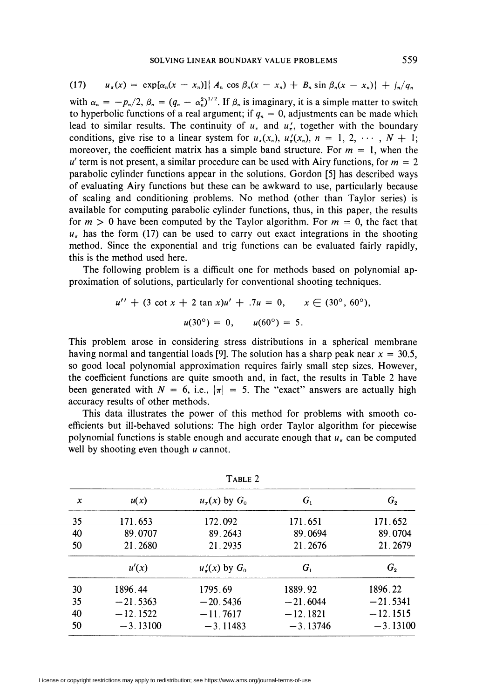(17) 
$$
u_{\pi}(x) = \exp[\alpha_n(x - x_n)] \{ A_n \cos \beta_n(x - x_n) + B_n \sin \beta_n(x - x_n) \} + f_n / q_n
$$

with  $\alpha_n = -p_n/2$ ,  $\beta_n = (q_n - \alpha_n^2)^{1/2}$ . If  $\beta_n$  is imaginary, it is a simple matter to switch to hyperbolic functions of a real argument; if  $q_n = 0$ , adjustments can be made which lead to similar results. The continuity of  $u<sub>\tau</sub>$  and  $u'_{\tau}$ , together with the boundary conditions, give rise to a linear system for  $u_r(x_n)$ ,  $u'_r(x_n)$ ,  $n = 1, 2, \cdots, N + 1$ ; moreover, the coefficient matrix has a simple band structure. For  $m = 1$ , when the  $u'$  term is not present, a similar procedure can be used with Airy functions, for  $m = 2$ parabolic cylinder functions appear in the solutions. Gordon [5] has described ways of evaluating Airy functions but these can be awkward to use, particularly because of scaling and conditioning problems. No method (other than Taylor series) is available for computing parabolic cylinder functions, thus, in this paper, the results for  $m > 0$  have been computed by the Taylor algorithm. For  $m = 0$ , the fact that  $u<sub>r</sub>$  has the form (17) can be used to carry out exact integrations in the shooting method. Since the exponential and trig functions can be evaluated fairly rapidly, this is the method used here.

The following problem is a difficult one for methods based on polynomial approximation of solutions, particularly for conventional shooting techniques.

$$
u'' + (3 \cot x + 2 \tan x)u' + .7u = 0, \qquad x \in (30^{\circ}, 60^{\circ}),
$$
  

$$
u(30^{\circ}) = 0, \qquad u(60^{\circ}) = 5.
$$

This problem arose in considering stress distributions in a spherical membrane having normal and tangential loads [9]. The solution has a sharp peak near  $x = 30.5$ , so good local polynomial approximation requires fairly small step sizes. However, the coefficient functions are quite smooth and, in fact, the results in Table 2 have been generated with  $N = 6$ , i.e.,  $|\pi| = 5$ . The "exact" answers are actually high accuracy results of other methods.

This data illustrates the power of this method for problems with smooth coefficients but ill-behaved solutions: The high order Taylor algorithm for piecewise polynomial functions is stable enough and accurate enough that  $u<sub>r</sub>$  can be computed well by shooting even though  $u$  cannot.

| I ADLE 4 |            |                       |            |            |  |  |  |
|----------|------------|-----------------------|------------|------------|--|--|--|
| x        | u(x)       | $u_{\pi}(x)$ by $G_0$ | $G_{1}$    | $G_{2}$    |  |  |  |
| 35       | 171.653    | 172.092               | 171.651    | 171.652    |  |  |  |
| 40       | 89.0707    | 89.2643               | 89.0694    | 89.0704    |  |  |  |
| 50       | 21.2680    | 21.2935               | 21.2676    | 21.2679    |  |  |  |
|          | u'(x)      | $u'_\tau(x)$ by $G_0$ | $G_{1}$    | $G_{2}$    |  |  |  |
| 30       | 1896.44    | 1795.69               | 1889.92    | 1896.22    |  |  |  |
| 35       | $-21.5363$ | $-20.5436$            | $-21.6044$ | $-21.5341$ |  |  |  |
| 40       | $-12.1522$ | $-11.7617$            | $-12.1821$ | $-12.1515$ |  |  |  |
| 50       | $-3.13100$ | $-3.11483$            | $-3.13746$ | $-3.13100$ |  |  |  |

Table 2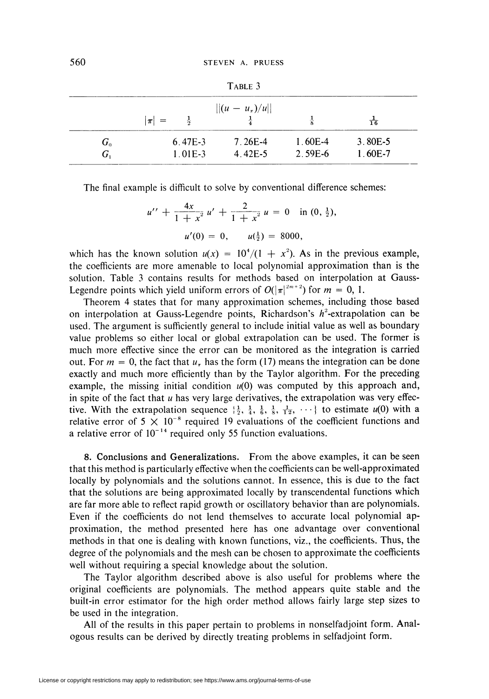| TABLE 3 |                          |                                         |           |                |  |  |  |  |
|---------|--------------------------|-----------------------------------------|-----------|----------------|--|--|--|--|
|         | $\frac{1}{2}$<br>$\pi$ = | $   (u - u_{\pi})/u  $<br>$\frac{1}{4}$ | 춯         | $\frac{1}{16}$ |  |  |  |  |
|         |                          |                                         |           |                |  |  |  |  |
| $G_{0}$ | $6.47E-3$                | 7.26E-4                                 | $1.60E-4$ | $3.80E-5$      |  |  |  |  |
| $G_{1}$ | $1.01E-3$                | 4.42E-5                                 | 2.59E-6   | 1.60E-7        |  |  |  |  |

The final example is difficult to solve by conventional difference schemes:

$$
u'' + \frac{4x}{1+x^2}u' + \frac{2}{1+x^2}u = 0 \text{ in } (0, \frac{1}{2}),
$$
  

$$
u'(0) = 0, \quad u(\frac{1}{2}) = 8000,
$$

which has the known solution  $u(x) = 10^4/(1 + x^2)$ . As in the previous example, the coefficients are more amenable to local polynomial approximation than is the solution. Table 3 contains results for methods based on interpolation at Gauss-Legendre points which yield uniform errors of  $O(|\pi|^{2m+2})$  for  $m = 0, 1$ .

Theorem 4 states that for many approximation schemes, including those based on interpolation at Gauss-Legendre points, Richardson's  $h^2$ -extrapolation can be used. The argument is sufficiently general to include initial value as well as boundary value problems so either local or global extrapolation can be used. The former is much more effective since the error can be monitored as the integration is carried out. For  $m = 0$ , the fact that  $u<sub>\pi</sub>$  has the form (17) means the integration can be done exactly and much more efficiently than by the Taylor algorithm. For the preceding example, the missing initial condition  $u(0)$  was computed by this approach and, in spite of the fact that  $u$  has very large derivatives, the extrapolation was very effective. With the extrapolation sequence  $\frac{1}{2}$ ,  $\frac{1}{4}$ ,  $\frac{1}{6}$ ,  $\frac{1}{8}$ ,  $\frac{1}{12}$ ,  $\cdots$ } to estimate  $u(0)$  with a relative error of  $5 \times 10^{-8}$  required 19 evaluations of the coefficient functions and a relative error of  $10^{-14}$  required only 55 function evaluations.

8. Conclusions and Generalizations. From the above examples, it can be seen that this method is particularly effective when the coefficients can be well-approximated locally by polynomials and the solutions cannot. In essence, this is due to the fact that the solutions are being approximated locally by transcendental functions which are far more able to reflect rapid growth or oscillatory behavior than are polynomials. Even if the coefficients do not lend themselves to accurate local polynomial approximation, the method presented here has one advantage over conventional methods in that one is dealing with known functions, viz., the coefficients. Thus, the degree of the polynomials and the mesh can be chosen to approximate the coefficients well without requiring a special knowledge about the solution.

The Taylor algorithm described above is also useful for problems where the original coefficients are polynomials. The method appears quite stable and the built-in error estimator for the high order method allows fairly large step sizes to be used in the integration.

All of the results in this paper pertain to problems in nonselfadjoint form. Analogous results can be derived by directly treating problems in selfadjoint form.